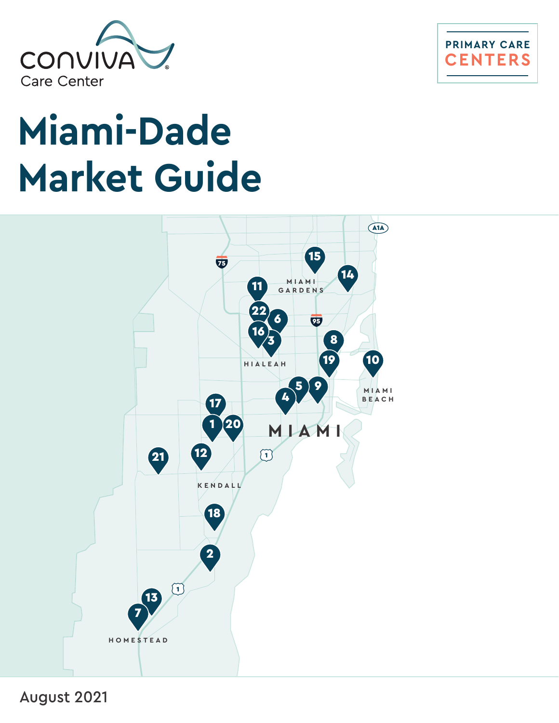



# **Miami-Dade Market Guide**



August 2021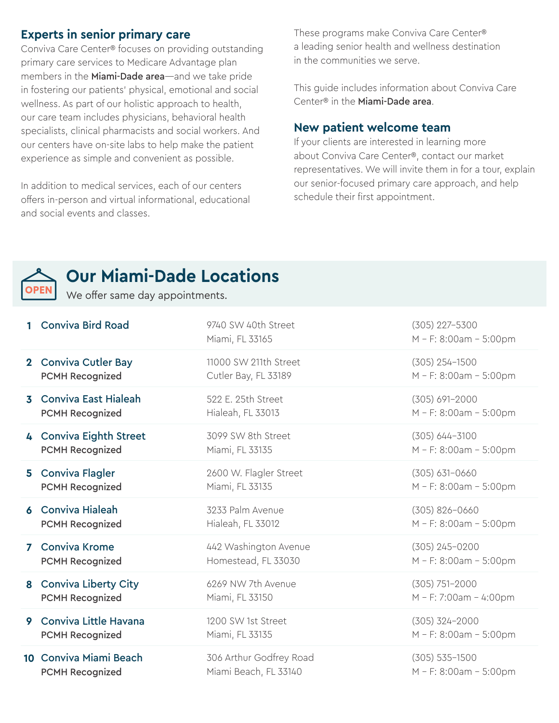## **Experts in senior primary care**

Conviva Care Center® focuses on providing outstanding primary care services to Medicare Advantage plan members in the **Miami-Dade area**—and we take pride in fostering our patients' physical, emotional and social wellness. As part of our holistic approach to health, our care team includes physicians, behavioral health specialists, clinical pharmacists and social workers. And our centers have on-site labs to help make the patient experience as simple and convenient as possible.

In addition to medical services, each of our centers offers in-person and virtual informational, educational and social events and classes.

These programs make Conviva Care Center® a leading senior health and wellness destination in the communities we serve.

This guide includes information about Conviva Care Center® in the Miami-Dade area.

#### **New patient welcome team**

If your clients are interested in learning more about Conviva Care Center®, contact our market representatives. We will invite them in for a tour, explain our senior-focused primary care approach, and help schedule their first appointment.



## **Our Miami-Dade Locations**

We offer same day appointments.

| <b>Conviva Bird Road</b>                             | 9740 SW 40th Street<br>Miami, FL 33165 | $(305)$ 227-5300<br>M - F: 8:00am - 5:00pm |
|------------------------------------------------------|----------------------------------------|--------------------------------------------|
| 2 Conviva Cutler Bay                                 | 11000 SW 211th Street                  | $(305)$ 254-1500                           |
| <b>PCMH Recognized</b>                               | Cutler Bay, FL 33189                   | M - F: 8:00am - 5:00pm                     |
| <b>3</b> Conviva East Hialeah                        | 522 E. 25th Street                     | $(305) 691 - 2000$                         |
| <b>PCMH Recognized</b>                               | Hialeah, FL 33013                      | M - F: 8:00am - 5:00pm                     |
| 4 Conviva Eighth Street                              | 3099 SW 8th Street                     | $(305)$ 644-3100                           |
| <b>PCMH Recognized</b>                               | Miami, FL 33135                        | M - F: 8:00am - 5:00pm                     |
| 5 Conviva Flagler                                    | 2600 W. Flagler Street                 | $(305) 631 - 0660$                         |
| <b>PCMH Recognized</b>                               | Miami, FL 33135                        | M - F: 8:00am - 5:00pm                     |
| <b>6</b> Conviva Hialeah                             | 3233 Palm Avenue                       | $(305) 826 - 0660$                         |
| <b>PCMH Recognized</b>                               | Hialeah, FL 33012                      | M - F: 8:00am - 5:00pm                     |
| <b>7</b> Conviva Krome                               | 442 Washington Avenue                  | $(305)$ 245-0200                           |
| <b>PCMH Recognized</b>                               | Homestead, FL 33030                    | M - F: 8:00am - 5:00pm                     |
| 8 Conviva Liberty City                               | 6269 NW 7th Avenue                     | $(305) 751 - 2000$                         |
| <b>PCMH Recognized</b>                               | Miami, FL 33150                        | M - F: 7:00am - 4:00pm                     |
| Conviva Little Havana<br>9<br><b>PCMH Recognized</b> | 1200 SW 1st Street<br>Miami, FL 33135  | $(305)$ 324-2000<br>M - F: 8:00am - 5:00pm |
| 10 Conviva Miami Beach                               | 306 Arthur Godfrey Road                | $(305) 535 - 1500$                         |
| <b>PCMH Recognized</b>                               | Miami Beach, FL 33140                  | M - F: 8:00am - 5:00pm                     |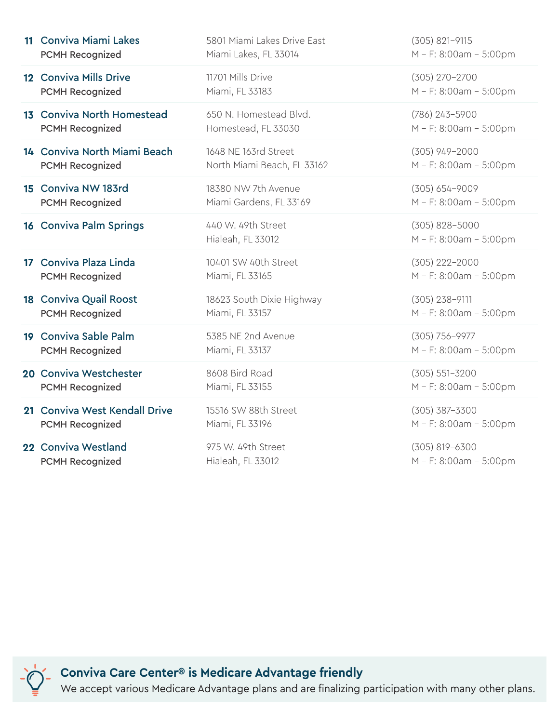| 11 Conviva Miami Lakes         | 5801 Miami Lakes Drive East             | $(305) 821 - 9115$                           |
|--------------------------------|-----------------------------------------|----------------------------------------------|
| <b>PCMH Recognized</b>         | Miami Lakes, FL 33014                   | M - F: 8:00am - 5:00pm                       |
| 12 Conviva Mills Drive         | 11701 Mills Drive                       | (305) 270-2700                               |
| <b>PCMH Recognized</b>         | Miami, FL 33183                         | M - F: 8:00am - 5:00pm                       |
| 13 Conviva North Homestead     | 650 N. Homestead Blvd.                  | (786) 243-5900                               |
| <b>PCMH Recognized</b>         | Homestead, FL 33030                     | M - F: 8:00am - 5:00pm                       |
| 14 Conviva North Miami Beach   | 1648 NE 163rd Street                    | $(305)$ 949-2000                             |
| <b>PCMH Recognized</b>         | North Miami Beach, FL 33162             | M - F: 8:00am - 5:00pm                       |
| 15 Conviva NW 183rd            | 18380 NW 7th Avenue                     | $(305) 654 - 9009$                           |
| <b>PCMH Recognized</b>         | Miami Gardens, FL 33169                 | M - F: 8:00am - 5:00pm                       |
| <b>16 Conviva Palm Springs</b> | 440 W. 49th Street<br>Hialeah, FL 33012 | $(305) 828 - 5000$<br>M - F: 8:00am - 5:00pm |
| 17 Conviva Plaza Linda         | 10401 SW 40th Street                    | $(305)$ 222-2000                             |
| <b>PCMH Recognized</b>         | Miami, FL 33165                         | M - F: 8:00am - 5:00pm                       |
| 18 Conviva Quail Roost         | 18623 South Dixie Highway               | $(305)$ 238-9111                             |
| <b>PCMH Recognized</b>         | Miami, FL 33157                         | M - F: 8:00am - 5:00pm                       |
| 19 Conviva Sable Palm          | 5385 NE 2nd Avenue                      | (305) 756-9977                               |
| <b>PCMH Recognized</b>         | Miami, FL 33137                         | M - F: 8:00am - 5:00pm                       |
| 20 Conviva Westchester         | 8608 Bird Road                          | $(305) 551 - 3200$                           |
| <b>PCMH Recognized</b>         | Miami, FL 33155                         | M - F: 8:00am - 5:00pm                       |
| 21 Conviva West Kendall Drive  | 15516 SW 88th Street                    | $(305)$ 387-3300                             |
| <b>PCMH Recognized</b>         | Miami, FL 33196                         | M - F: 8:00am - 5:00pm                       |
| 22 Conviva Westland            | 975 W. 49th Street                      | $(305) 819 - 6300$                           |
| <b>PCMH Recognized</b>         | Hialeah, FL 33012                       | M - F: 8:00am - 5:00pm                       |

**Conviva Care Center® is Medicare Advantage friendly**

We accept various Medicare Advantage plans and are finalizing participation with many other plans.